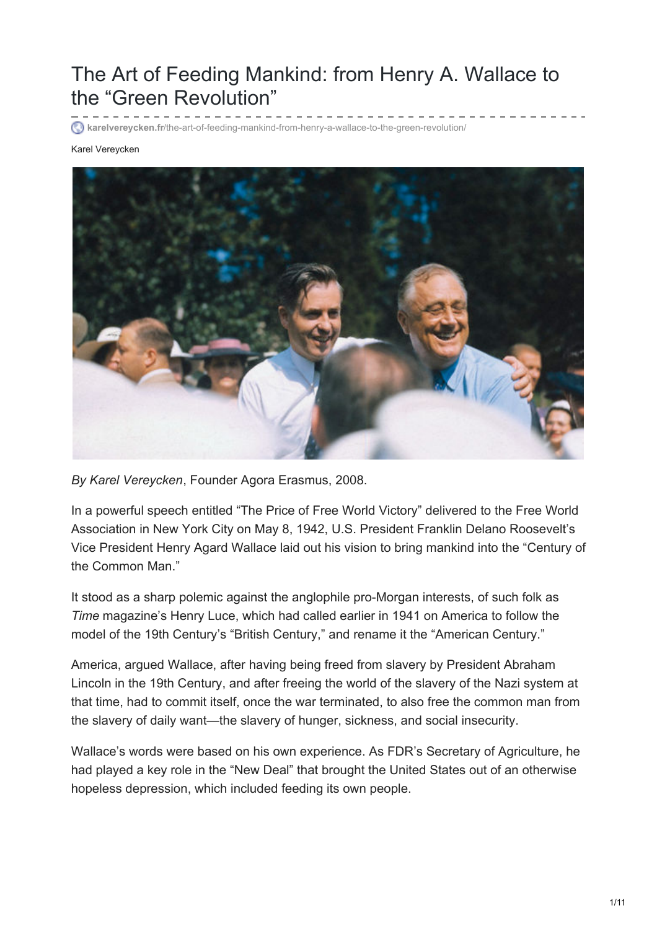# The Art of Feeding Mankind: from Henry A. Wallace to the "Green Revolution"

**karelvereycken.fr**[/the-art-of-feeding-mankind-from-henry-a-wallace-to-the-green-revolution/](http://www.karelvereycken.fr/the-art-of-feeding-mankind-from-henry-a-wallace-to-the-green-revolution/)

#### Karel Vereycken



*By Karel Vereycken*, Founder Agora Erasmus, 2008.

In a powerful speech entitled "The Price of Free World Victory" delivered to the Free World Association in New York City on May 8, 1942, U.S. President Franklin Delano Roosevelt's Vice President Henry Agard Wallace laid out his vision to bring mankind into the "Century of the Common Man."

It stood as a sharp polemic against the anglophile pro-Morgan interests, of such folk as *Time* magazine's Henry Luce, which had called earlier in 1941 on America to follow the model of the 19th Century's "British Century," and rename it the "American Century."

America, argued Wallace, after having being freed from slavery by President Abraham Lincoln in the 19th Century, and after freeing the world of the slavery of the Nazi system at that time, had to commit itself, once the war terminated, to also free the common man from the slavery of daily want—the slavery of hunger, sickness, and social insecurity.

Wallace's words were based on his own experience. As FDR's Secretary of Agriculture, he had played a key role in the "New Deal" that brought the United States out of an otherwise hopeless depression, which included feeding its own people.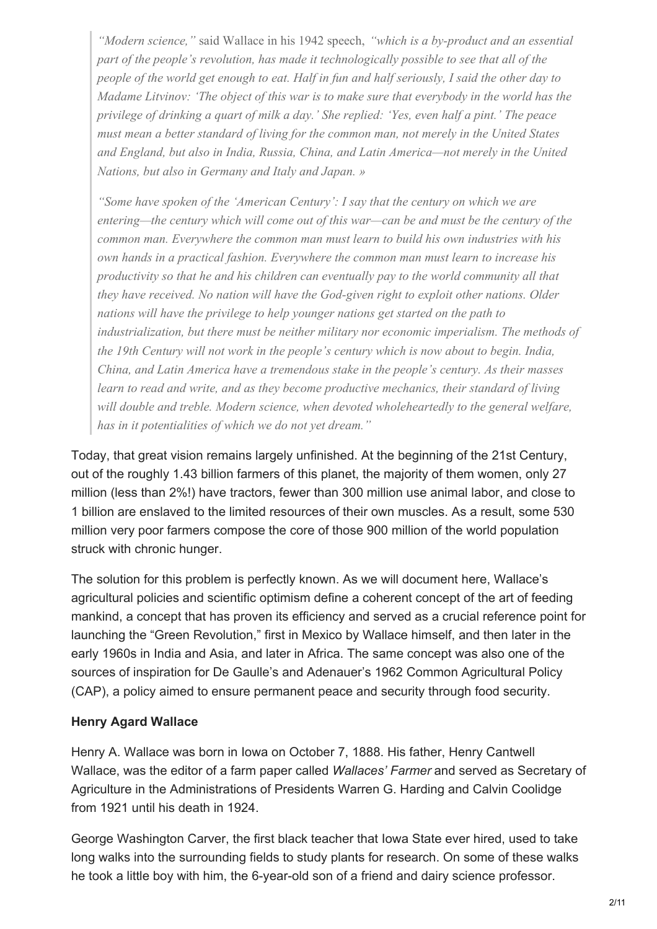*"Modern science,"* said Wallace in his 1942 speech, *"which is a by-product and an essential part of the people's revolution, has made it technologically possible to see that all of the* people of the world get enough to eat. Half in fun and half seriously, I said the other day to *Madame Litvinov: 'The object of this war is to make sure that everybody in the world has the privilege of drinking a quart of milk a day.' She replied: 'Yes, even half a pint.' The peace must mean a better standard of living for the common man, not merely in the United States and England, but also in India, Russia, China, and Latin America—not merely in the United Nations, but also in Germany and Italy and Japan. »*

*"Some have spoken of the 'American Century': I say that the century on which we are entering—the century which will come out of this war—can be and must be the century of the common man. Everywhere the common man must learn to build his own industries with his own hands in a practical fashion. Everywhere the common man must learn to increase his productivity so that he and his children can eventually pay to the world community all that they have received. No nation will have the God-given right to exploit other nations. Older nations will have the privilege to help younger nations get started on the path to industrialization, but there must be neither military nor economic imperialism. The methods of the 19th Century will not work in the people's century which is now about to begin. India, China, and Latin America have a tremendous stake in the people's century. As their masses learn to read and write, and as they become productive mechanics, their standard of living will double and treble. Modern science, when devoted wholeheartedly to the general welfare, has in it potentialities of which we do not yet dream."*

Today, that great vision remains largely unfinished. At the beginning of the 21st Century, out of the roughly 1.43 billion farmers of this planet, the majority of them women, only 27 million (less than 2%!) have tractors, fewer than 300 million use animal labor, and close to 1 billion are enslaved to the limited resources of their own muscles. As a result, some 530 million very poor farmers compose the core of those 900 million of the world population struck with chronic hunger.

The solution for this problem is perfectly known. As we will document here, Wallace's agricultural policies and scientific optimism define a coherent concept of the art of feeding mankind, a concept that has proven its efficiency and served as a crucial reference point for launching the "Green Revolution," first in Mexico by Wallace himself, and then later in the early 1960s in India and Asia, and later in Africa. The same concept was also one of the sources of inspiration for De Gaulle's and Adenauer's 1962 Common Agricultural Policy (CAP), a policy aimed to ensure permanent peace and security through food security.

## **Henry Agard Wallace**

Henry A. Wallace was born in Iowa on October 7, 1888. His father, Henry Cantwell Wallace, was the editor of a farm paper called *Wallaces' Farmer* and served as Secretary of Agriculture in the Administrations of Presidents Warren G. Harding and Calvin Coolidge from 1921 until his death in 1924.

George Washington Carver, the first black teacher that Iowa State ever hired, used to take long walks into the surrounding fields to study plants for research. On some of these walks he took a little boy with him, the 6-year-old son of a friend and dairy science professor.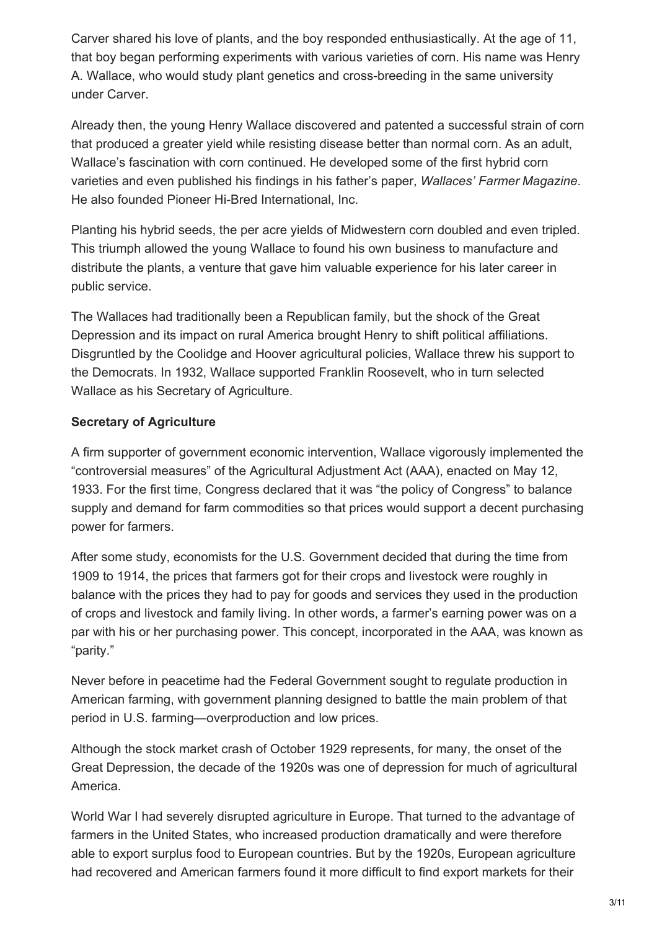Carver shared his love of plants, and the boy responded enthusiastically. At the age of 11, that boy began performing experiments with various varieties of corn. His name was Henry A. Wallace, who would study plant genetics and cross-breeding in the same university under Carver.

Already then, the young Henry Wallace discovered and patented a successful strain of corn that produced a greater yield while resisting disease better than normal corn. As an adult, Wallace's fascination with corn continued. He developed some of the first hybrid corn varieties and even published his findings in his father's paper, *Wallaces' Farmer Magazine*. He also founded Pioneer Hi-Bred International, Inc.

Planting his hybrid seeds, the per acre yields of Midwestern corn doubled and even tripled. This triumph allowed the young Wallace to found his own business to manufacture and distribute the plants, a venture that gave him valuable experience for his later career in public service.

The Wallaces had traditionally been a Republican family, but the shock of the Great Depression and its impact on rural America brought Henry to shift political affiliations. Disgruntled by the Coolidge and Hoover agricultural policies, Wallace threw his support to the Democrats. In 1932, Wallace supported Franklin Roosevelt, who in turn selected Wallace as his Secretary of Agriculture.

# **Secretary of Agriculture**

A firm supporter of government economic intervention, Wallace vigorously implemented the "controversial measures" of the Agricultural Adjustment Act (AAA), enacted on May 12, 1933. For the first time, Congress declared that it was "the policy of Congress" to balance supply and demand for farm commodities so that prices would support a decent purchasing power for farmers.

After some study, economists for the U.S. Government decided that during the time from 1909 to 1914, the prices that farmers got for their crops and livestock were roughly in balance with the prices they had to pay for goods and services they used in the production of crops and livestock and family living. In other words, a farmer's earning power was on a par with his or her purchasing power. This concept, incorporated in the AAA, was known as "parity."

Never before in peacetime had the Federal Government sought to regulate production in American farming, with government planning designed to battle the main problem of that period in U.S. farming—overproduction and low prices.

Although the stock market crash of October 1929 represents, for many, the onset of the Great Depression, the decade of the 1920s was one of depression for much of agricultural America.

World War I had severely disrupted agriculture in Europe. That turned to the advantage of farmers in the United States, who increased production dramatically and were therefore able to export surplus food to European countries. But by the 1920s, European agriculture had recovered and American farmers found it more difficult to find export markets for their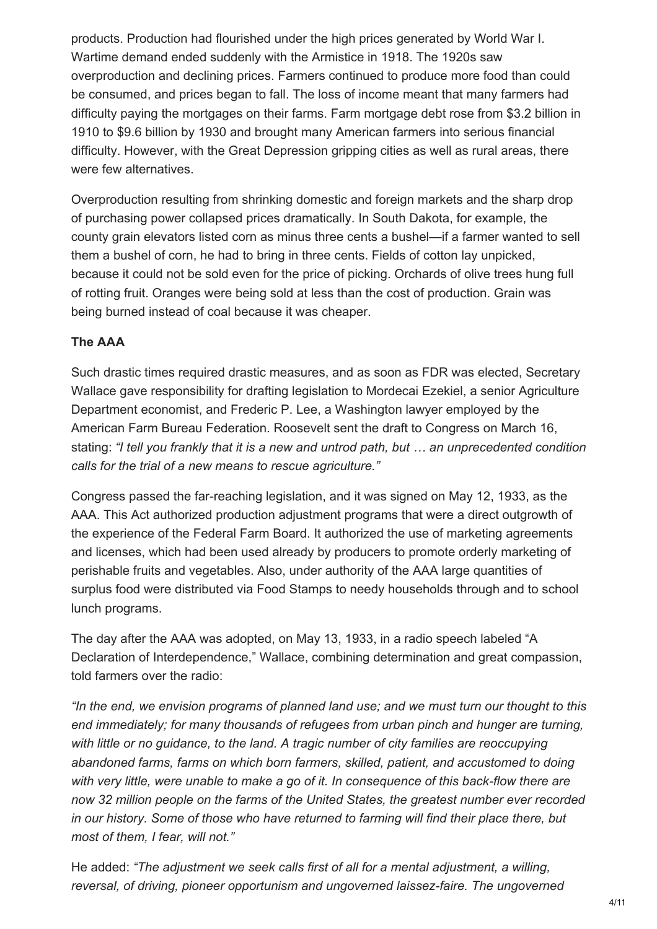products. Production had flourished under the high prices generated by World War I. Wartime demand ended suddenly with the Armistice in 1918. The 1920s saw overproduction and declining prices. Farmers continued to produce more food than could be consumed, and prices began to fall. The loss of income meant that many farmers had difficulty paying the mortgages on their farms. Farm mortgage debt rose from \$3.2 billion in 1910 to \$9.6 billion by 1930 and brought many American farmers into serious financial difficulty. However, with the Great Depression gripping cities as well as rural areas, there were few alternatives.

Overproduction resulting from shrinking domestic and foreign markets and the sharp drop of purchasing power collapsed prices dramatically. In South Dakota, for example, the county grain elevators listed corn as minus three cents a bushel—if a farmer wanted to sell them a bushel of corn, he had to bring in three cents. Fields of cotton lay unpicked, because it could not be sold even for the price of picking. Orchards of olive trees hung full of rotting fruit. Oranges were being sold at less than the cost of production. Grain was being burned instead of coal because it was cheaper.

#### **The AAA**

Such drastic times required drastic measures, and as soon as FDR was elected, Secretary Wallace gave responsibility for drafting legislation to Mordecai Ezekiel, a senior Agriculture Department economist, and Frederic P. Lee, a Washington lawyer employed by the American Farm Bureau Federation. Roosevelt sent the draft to Congress on March 16, stating: *"I tell you frankly that it is a new and untrod path, but … an unprecedented condition calls for the trial of a new means to rescue agriculture."*

Congress passed the far-reaching legislation, and it was signed on May 12, 1933, as the AAA. This Act authorized production adjustment programs that were a direct outgrowth of the experience of the Federal Farm Board. It authorized the use of marketing agreements and licenses, which had been used already by producers to promote orderly marketing of perishable fruits and vegetables. Also, under authority of the AAA large quantities of surplus food were distributed via Food Stamps to needy households through and to school lunch programs.

The day after the AAA was adopted, on May 13, 1933, in a radio speech labeled "A Declaration of Interdependence," Wallace, combining determination and great compassion, told farmers over the radio:

*"In the end, we envision programs of planned land use; and we must turn our thought to this end immediately; for many thousands of refugees from urban pinch and hunger are turning, with little or no guidance, to the land. A tragic number of city families are reoccupying abandoned farms, farms on which born farmers, skilled, patient, and accustomed to doing with very little, were unable to make a go of it. In consequence of this back-flow there are now 32 million people on the farms of the United States, the greatest number ever recorded in our history. Some of those who have returned to farming will find their place there, but most of them, I fear, will not."*

He added: *"The adjustment we seek calls first of all for a mental adjustment, a willing, reversal, of driving, pioneer opportunism and ungoverned laissez-faire. The ungoverned*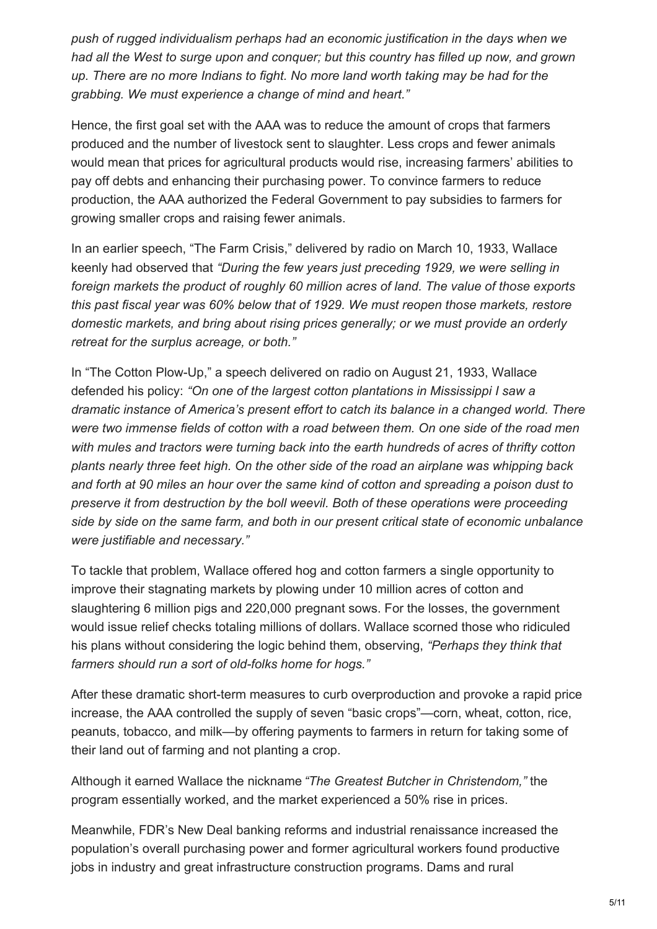*push of rugged individualism perhaps had an economic justification in the days when we had all the West to surge upon and conquer; but this country has filled up now, and grown up. There are no more Indians to fight. No more land worth taking may be had for the grabbing. We must experience a change of mind and heart."*

Hence, the first goal set with the AAA was to reduce the amount of crops that farmers produced and the number of livestock sent to slaughter. Less crops and fewer animals would mean that prices for agricultural products would rise, increasing farmers' abilities to pay off debts and enhancing their purchasing power. To convince farmers to reduce production, the AAA authorized the Federal Government to pay subsidies to farmers for growing smaller crops and raising fewer animals.

In an earlier speech, "The Farm Crisis," delivered by radio on March 10, 1933, Wallace keenly had observed that *"During the few years just preceding 1929, we were selling in foreign markets the product of roughly 60 million acres of land. The value of those exports this past fiscal year was 60% below that of 1929. We must reopen those markets, restore domestic markets, and bring about rising prices generally; or we must provide an orderly retreat for the surplus acreage, or both."*

In "The Cotton Plow-Up," a speech delivered on radio on August 21, 1933, Wallace defended his policy: *"On one of the largest cotton plantations in Mississippi I saw a dramatic instance of America's present effort to catch its balance in a changed world. There were two immense fields of cotton with a road between them. On one side of the road men with mules and tractors were turning back into the earth hundreds of acres of thrifty cotton plants nearly three feet high. On the other side of the road an airplane was whipping back and forth at 90 miles an hour over the same kind of cotton and spreading a poison dust to preserve it from destruction by the boll weevil. Both of these operations were proceeding side by side on the same farm, and both in our present critical state of economic unbalance were justifiable and necessary."*

To tackle that problem, Wallace offered hog and cotton farmers a single opportunity to improve their stagnating markets by plowing under 10 million acres of cotton and slaughtering 6 million pigs and 220,000 pregnant sows. For the losses, the government would issue relief checks totaling millions of dollars. Wallace scorned those who ridiculed his plans without considering the logic behind them, observing, *"Perhaps they think that farmers should run a sort of old-folks home for hogs."*

After these dramatic short-term measures to curb overproduction and provoke a rapid price increase, the AAA controlled the supply of seven "basic crops"—corn, wheat, cotton, rice, peanuts, tobacco, and milk—by offering payments to farmers in return for taking some of their land out of farming and not planting a crop.

Although it earned Wallace the nickname *"The Greatest Butcher in Christendom,"* the program essentially worked, and the market experienced a 50% rise in prices.

Meanwhile, FDR's New Deal banking reforms and industrial renaissance increased the population's overall purchasing power and former agricultural workers found productive jobs in industry and great infrastructure construction programs. Dams and rural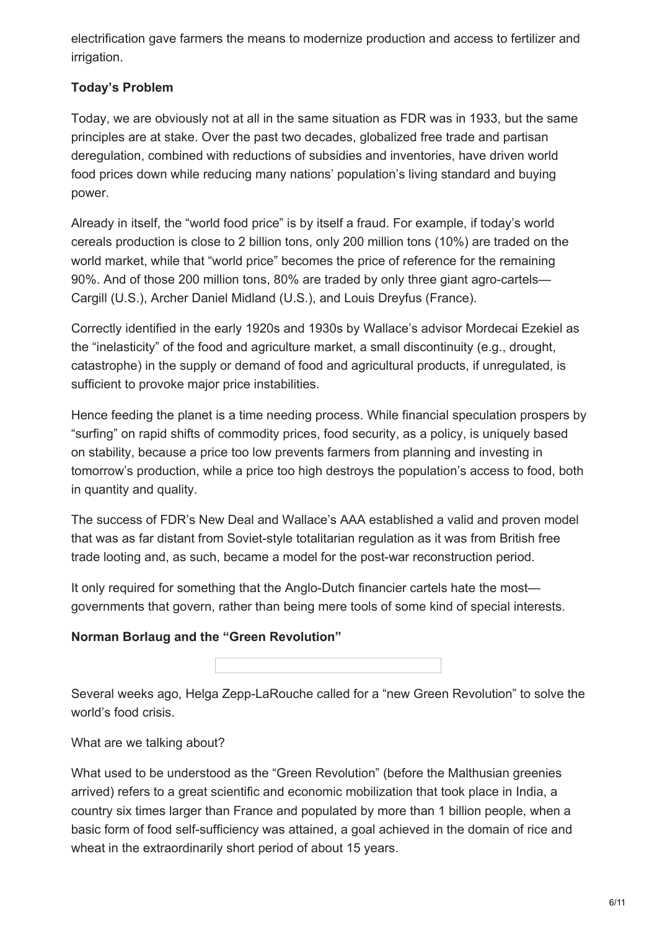electrification gave farmers the means to modernize production and access to fertilizer and irrigation.

# **Today's Problem**

Today, we are obviously not at all in the same situation as FDR was in 1933, but the same principles are at stake. Over the past two decades, globalized free trade and partisan deregulation, combined with reductions of subsidies and inventories, have driven world food prices down while reducing many nations' population's living standard and buying power.

Already in itself, the "world food price" is by itself a fraud. For example, if today's world cereals production is close to 2 billion tons, only 200 million tons (10%) are traded on the world market, while that "world price" becomes the price of reference for the remaining 90%. And of those 200 million tons, 80% are traded by only three giant agro-cartels— Cargill (U.S.), Archer Daniel Midland (U.S.), and Louis Dreyfus (France).

Correctly identified in the early 1920s and 1930s by Wallace's advisor Mordecai Ezekiel as the "inelasticity" of the food and agriculture market, a small discontinuity (e.g., drought, catastrophe) in the supply or demand of food and agricultural products, if unregulated, is sufficient to provoke major price instabilities.

Hence feeding the planet is a time needing process. While financial speculation prospers by "surfing" on rapid shifts of commodity prices, food security, as a policy, is uniquely based on stability, because a price too low prevents farmers from planning and investing in tomorrow's production, while a price too high destroys the population's access to food, both in quantity and quality.

The success of FDR's New Deal and Wallace's AAA established a valid and proven model that was as far distant from Soviet-style totalitarian regulation as it was from British free trade looting and, as such, became a model for the post-war reconstruction period.

It only required for something that the Anglo-Dutch financier cartels hate the most governments that govern, rather than being mere tools of some kind of special interests.

# **Norman Borlaug and the "Green Revolution"**

Several weeks ago, Helga Zepp-LaRouche called for a "new Green Revolution" to solve the world's food crisis.

What are we talking about?

What used to be understood as the "Green Revolution" (before the Malthusian greenies arrived) refers to a great scientific and economic mobilization that took place in India, a country six times larger than France and populated by more than 1 billion people, when a basic form of food self-sufficiency was attained, a goal achieved in the domain of rice and wheat in the extraordinarily short period of about 15 years.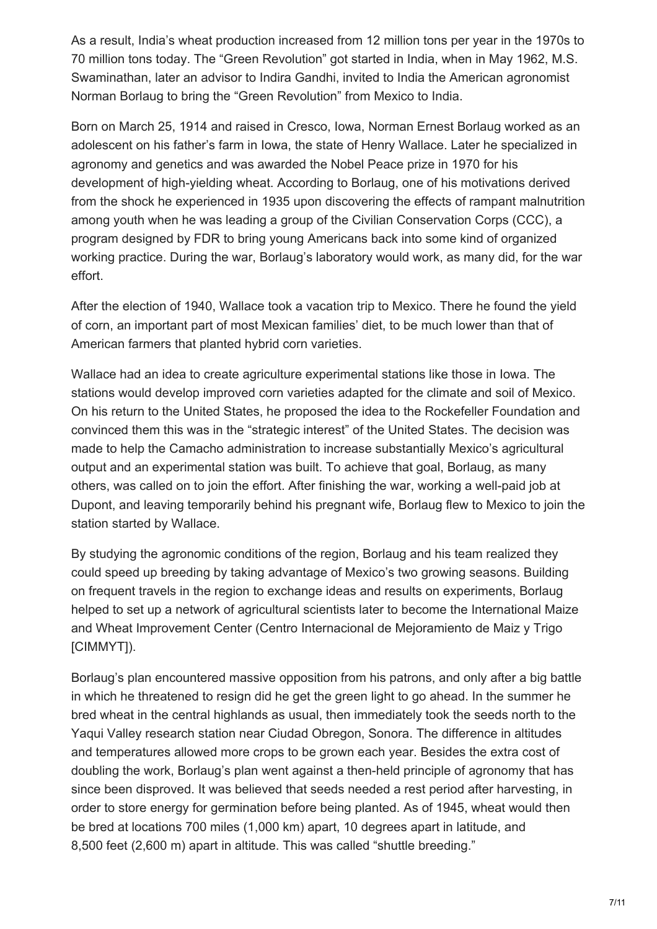As a result, India's wheat production increased from 12 million tons per year in the 1970s to 70 million tons today. The "Green Revolution" got started in India, when in May 1962, M.S. Swaminathan, later an advisor to Indira Gandhi, invited to India the American agronomist Norman Borlaug to bring the "Green Revolution" from Mexico to India.

Born on March 25, 1914 and raised in Cresco, Iowa, Norman Ernest Borlaug worked as an adolescent on his father's farm in Iowa, the state of Henry Wallace. Later he specialized in agronomy and genetics and was awarded the Nobel Peace prize in 1970 for his development of high-yielding wheat. According to Borlaug, one of his motivations derived from the shock he experienced in 1935 upon discovering the effects of rampant malnutrition among youth when he was leading a group of the Civilian Conservation Corps (CCC), a program designed by FDR to bring young Americans back into some kind of organized working practice. During the war, Borlaug's laboratory would work, as many did, for the war effort.

After the election of 1940, Wallace took a vacation trip to Mexico. There he found the yield of corn, an important part of most Mexican families' diet, to be much lower than that of American farmers that planted hybrid corn varieties.

Wallace had an idea to create agriculture experimental stations like those in Iowa. The stations would develop improved corn varieties adapted for the climate and soil of Mexico. On his return to the United States, he proposed the idea to the Rockefeller Foundation and convinced them this was in the "strategic interest" of the United States. The decision was made to help the Camacho administration to increase substantially Mexico's agricultural output and an experimental station was built. To achieve that goal, Borlaug, as many others, was called on to join the effort. After finishing the war, working a well-paid job at Dupont, and leaving temporarily behind his pregnant wife, Borlaug flew to Mexico to join the station started by Wallace.

By studying the agronomic conditions of the region, Borlaug and his team realized they could speed up breeding by taking advantage of Mexico's two growing seasons. Building on frequent travels in the region to exchange ideas and results on experiments, Borlaug helped to set up a network of agricultural scientists later to become the International Maize and Wheat Improvement Center (Centro Internacional de Mejoramiento de Maiz y Trigo [CIMMYT]).

Borlaug's plan encountered massive opposition from his patrons, and only after a big battle in which he threatened to resign did he get the green light to go ahead. In the summer he bred wheat in the central highlands as usual, then immediately took the seeds north to the Yaqui Valley research station near Ciudad Obregon, Sonora. The difference in altitudes and temperatures allowed more crops to be grown each year. Besides the extra cost of doubling the work, Borlaug's plan went against a then-held principle of agronomy that has since been disproved. It was believed that seeds needed a rest period after harvesting, in order to store energy for germination before being planted. As of 1945, wheat would then be bred at locations 700 miles (1,000 km) apart, 10 degrees apart in latitude, and 8,500 feet (2,600 m) apart in altitude. This was called "shuttle breeding."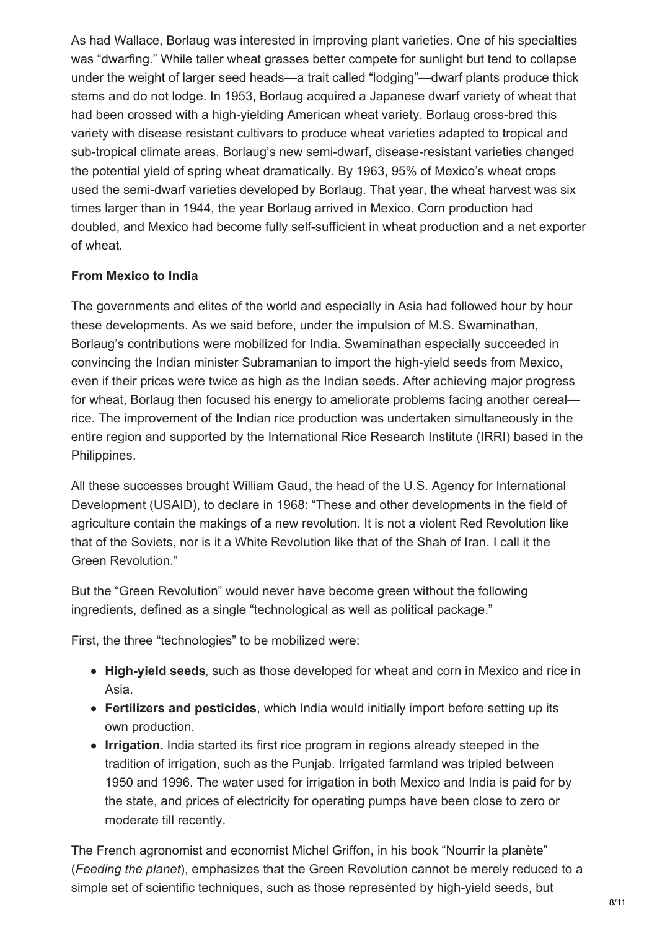As had Wallace, Borlaug was interested in improving plant varieties. One of his specialties was "dwarfing." While taller wheat grasses better compete for sunlight but tend to collapse under the weight of larger seed heads—a trait called "lodging"—dwarf plants produce thick stems and do not lodge. In 1953, Borlaug acquired a Japanese dwarf variety of wheat that had been crossed with a high-yielding American wheat variety. Borlaug cross-bred this variety with disease resistant cultivars to produce wheat varieties adapted to tropical and sub-tropical climate areas. Borlaug's new semi-dwarf, disease-resistant varieties changed the potential yield of spring wheat dramatically. By 1963, 95% of Mexico's wheat crops used the semi-dwarf varieties developed by Borlaug. That year, the wheat harvest was six times larger than in 1944, the year Borlaug arrived in Mexico. Corn production had doubled, and Mexico had become fully self-sufficient in wheat production and a net exporter of wheat.

#### **From Mexico to India**

The governments and elites of the world and especially in Asia had followed hour by hour these developments. As we said before, under the impulsion of M.S. Swaminathan, Borlaug's contributions were mobilized for India. Swaminathan especially succeeded in convincing the Indian minister Subramanian to import the high-yield seeds from Mexico, even if their prices were twice as high as the Indian seeds. After achieving major progress for wheat, Borlaug then focused his energy to ameliorate problems facing another cereal rice. The improvement of the Indian rice production was undertaken simultaneously in the entire region and supported by the International Rice Research Institute (IRRI) based in the Philippines.

All these successes brought William Gaud, the head of the U.S. Agency for International Development (USAID), to declare in 1968: "These and other developments in the field of agriculture contain the makings of a new revolution. It is not a violent Red Revolution like that of the Soviets, nor is it a White Revolution like that of the Shah of Iran. I call it the Green Revolution."

But the "Green Revolution" would never have become green without the following ingredients, defined as a single "technological as well as political package."

First, the three "technologies" to be mobilized were:

- **High-yield seeds**, such as those developed for wheat and corn in Mexico and rice in Asia.
- **Fertilizers and pesticides**, which India would initially import before setting up its own production.
- **Irrigation.** India started its first rice program in regions already steeped in the tradition of irrigation, such as the Punjab. Irrigated farmland was tripled between 1950 and 1996. The water used for irrigation in both Mexico and India is paid for by the state, and prices of electricity for operating pumps have been close to zero or moderate till recently.

The French agronomist and economist Michel Griffon, in his book "Nourrir la planète" (*Feeding the planet*), emphasizes that the Green Revolution cannot be merely reduced to a simple set of scientific techniques, such as those represented by high-yield seeds, but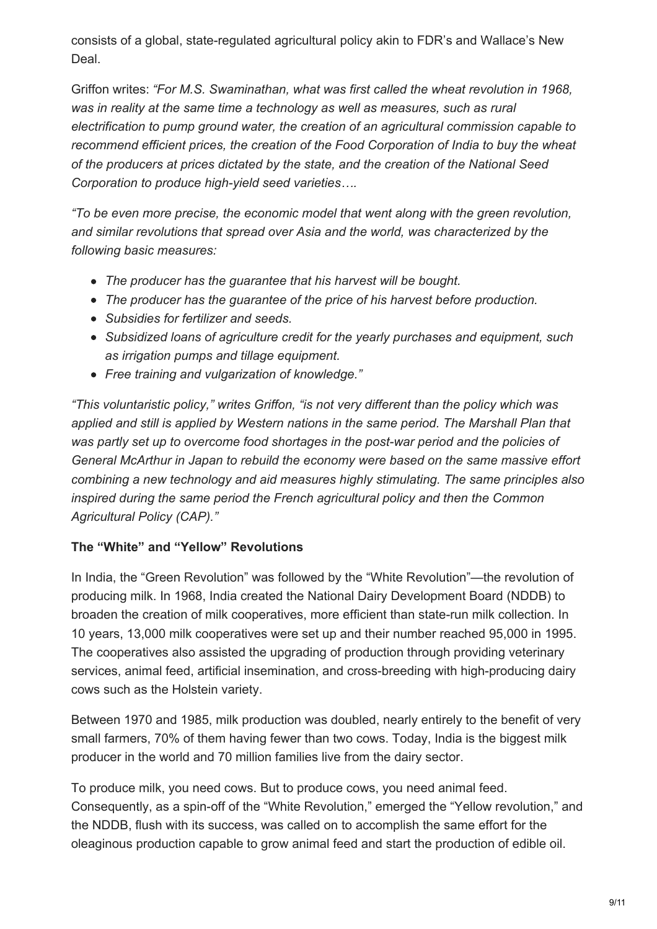consists of a global, state-regulated agricultural policy akin to FDR's and Wallace's New Deal.

Griffon writes: *"For M.S. Swaminathan, what was first called the wheat revolution in 1968, was in reality at the same time a technology as well as measures, such as rural electrification to pump ground water, the creation of an agricultural commission capable to recommend efficient prices, the creation of the Food Corporation of India to buy the wheat of the producers at prices dictated by the state, and the creation of the National Seed Corporation to produce high-yield seed varieties….*

*"To be even more precise, the economic model that went along with the green revolution, and similar revolutions that spread over Asia and the world, was characterized by the following basic measures:*

- *The producer has the guarantee that his harvest will be bought.*
- *The producer has the guarantee of the price of his harvest before production.*
- *Subsidies for fertilizer and seeds.*
- *Subsidized loans of agriculture credit for the yearly purchases and equipment, such as irrigation pumps and tillage equipment.*
- *Free training and vulgarization of knowledge."*

*"This voluntaristic policy," writes Griffon, "is not very different than the policy which was applied and still is applied by Western nations in the same period. The Marshall Plan that was partly set up to overcome food shortages in the post-war period and the policies of General McArthur in Japan to rebuild the economy were based on the same massive effort combining a new technology and aid measures highly stimulating. The same principles also inspired during the same period the French agricultural policy and then the Common Agricultural Policy (CAP)."*

## **The "White" and "Yellow" Revolutions**

In India, the "Green Revolution" was followed by the "White Revolution"—the revolution of producing milk. In 1968, India created the National Dairy Development Board (NDDB) to broaden the creation of milk cooperatives, more efficient than state-run milk collection. In 10 years, 13,000 milk cooperatives were set up and their number reached 95,000 in 1995. The cooperatives also assisted the upgrading of production through providing veterinary services, animal feed, artificial insemination, and cross-breeding with high-producing dairy cows such as the Holstein variety.

Between 1970 and 1985, milk production was doubled, nearly entirely to the benefit of very small farmers, 70% of them having fewer than two cows. Today, India is the biggest milk producer in the world and 70 million families live from the dairy sector.

To produce milk, you need cows. But to produce cows, you need animal feed. Consequently, as a spin-off of the "White Revolution," emerged the "Yellow revolution," and the NDDB, flush with its success, was called on to accomplish the same effort for the oleaginous production capable to grow animal feed and start the production of edible oil.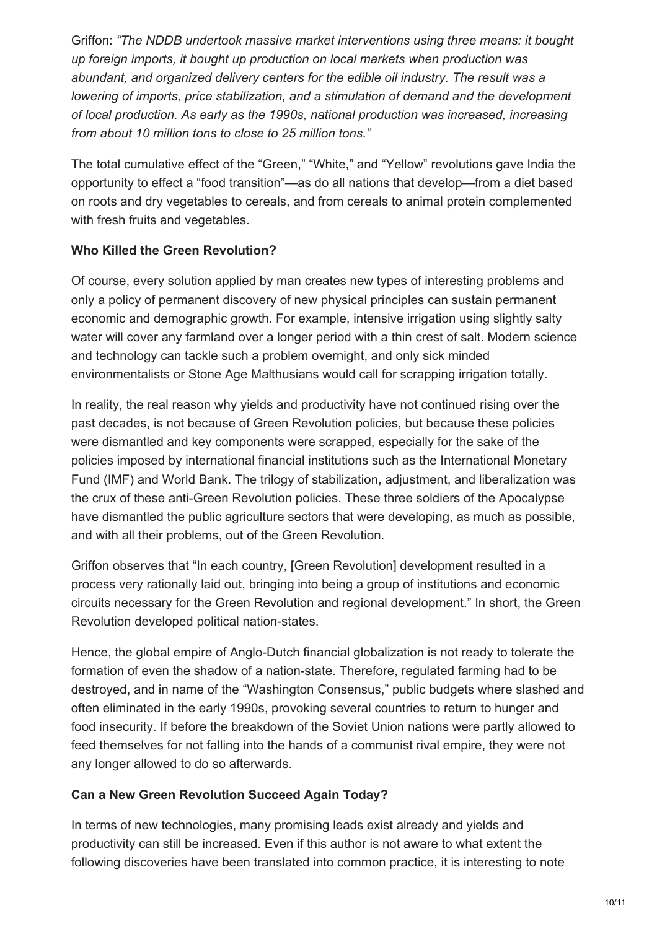Griffon: *"The NDDB undertook massive market interventions using three means: it bought up foreign imports, it bought up production on local markets when production was abundant, and organized delivery centers for the edible oil industry. The result was a lowering of imports, price stabilization, and a stimulation of demand and the development of local production. As early as the 1990s, national production was increased, increasing from about 10 million tons to close to 25 million tons."*

The total cumulative effect of the "Green," "White," and "Yellow" revolutions gave India the opportunity to effect a "food transition"—as do all nations that develop—from a diet based on roots and dry vegetables to cereals, and from cereals to animal protein complemented with fresh fruits and vegetables.

# **Who Killed the Green Revolution?**

Of course, every solution applied by man creates new types of interesting problems and only a policy of permanent discovery of new physical principles can sustain permanent economic and demographic growth. For example, intensive irrigation using slightly salty water will cover any farmland over a longer period with a thin crest of salt. Modern science and technology can tackle such a problem overnight, and only sick minded environmentalists or Stone Age Malthusians would call for scrapping irrigation totally.

In reality, the real reason why yields and productivity have not continued rising over the past decades, is not because of Green Revolution policies, but because these policies were dismantled and key components were scrapped, especially for the sake of the policies imposed by international financial institutions such as the International Monetary Fund (IMF) and World Bank. The trilogy of stabilization, adjustment, and liberalization was the crux of these anti-Green Revolution policies. These three soldiers of the Apocalypse have dismantled the public agriculture sectors that were developing, as much as possible, and with all their problems, out of the Green Revolution.

Griffon observes that "In each country, [Green Revolution] development resulted in a process very rationally laid out, bringing into being a group of institutions and economic circuits necessary for the Green Revolution and regional development." In short, the Green Revolution developed political nation-states.

Hence, the global empire of Anglo-Dutch financial globalization is not ready to tolerate the formation of even the shadow of a nation-state. Therefore, regulated farming had to be destroyed, and in name of the "Washington Consensus," public budgets where slashed and often eliminated in the early 1990s, provoking several countries to return to hunger and food insecurity. If before the breakdown of the Soviet Union nations were partly allowed to feed themselves for not falling into the hands of a communist rival empire, they were not any longer allowed to do so afterwards.

## **Can a New Green Revolution Succeed Again Today?**

In terms of new technologies, many promising leads exist already and yields and productivity can still be increased. Even if this author is not aware to what extent the following discoveries have been translated into common practice, it is interesting to note